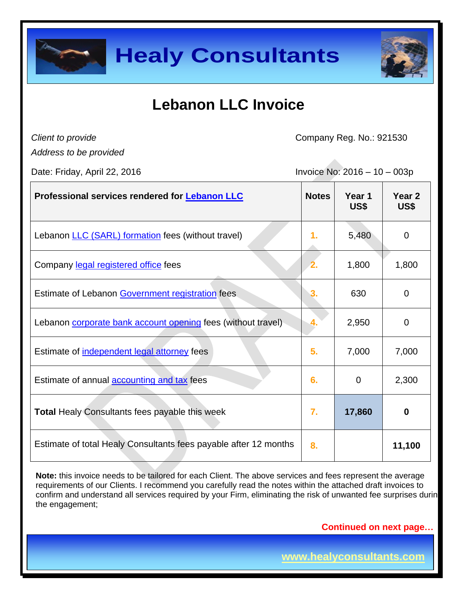



## **Lebanon LLC Invoice**

*Client to provide* 

Company Reg. No.: 921530

*Address to be provided*

Date: Friday, April 22, 2016 Invoice No: 2016 – 10 – 003p

| Professional services rendered for <b>Lebanon LLC</b>            | <b>Notes</b>   | Year 1<br>US\$ | Year 2<br>US\$   |
|------------------------------------------------------------------|----------------|----------------|------------------|
| Lebanon <b>LLC</b> (SARL) formation fees (without travel)        | 1.             | 5,480          | $\overline{0}$   |
| Company legal registered office fees                             | $\overline{2}$ | 1,800          | 1,800            |
| Estimate of Lebanon Government registration fees                 | 3.             | 630            | $\overline{0}$   |
| Lebanon corporate bank account opening fees (without travel)     |                | 2,950          | 0                |
| Estimate of independent legal attorney fees                      | 5.             | 7,000          | 7,000            |
| Estimate of annual <b>accounting and tax</b> fees                | 6.             | 0              | 2,300            |
| <b>Total Healy Consultants fees payable this week</b>            | 7.             | 17,860         | $\boldsymbol{0}$ |
| Estimate of total Healy Consultants fees payable after 12 months | 8.             |                | 11,100           |

**Note:** this invoice needs to be tailored for each Client. The above services and fees represent the average requirements of our Clients. I recommend you carefully read the notes within the attached draft invoices to confirm and understand all services required by your Firm, eliminating the risk of unwanted fee surprises durin the engagement;

**Continued on next page…**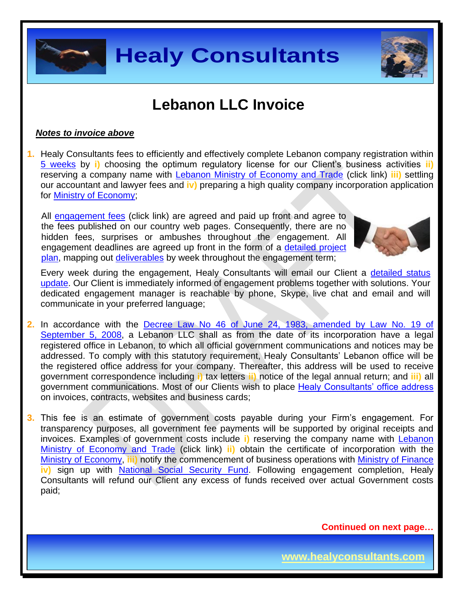

### **Lebanon LLC Invoice**

#### *Notes to invoice above*

**1.** Healy Consultants fees to efficiently and effectively complete Lebanon company registration within [5 weeks](http://www.healyconsultants.com/lebanon-company-registration/fees-timelines/#timelines) by **i)** choosing the optimum regulatory license for our Client's business activities **ii)** reserving a company name with [Lebanon Ministry of Economy and Trade](http://www.economy.gov.lb/index.php/home/2) (click link) **iii)** settling our accountant and lawyer fees and **iv)** preparing a high quality company incorporation application for [Ministry of Economy;](http://www.economy.gov.lb/index.php/home/2)

All [engagement fees](http://www.healyconsultants.com/company-registration-fees/) (click link) are agreed and paid up front and agree to the fees published on our country web pages. Consequently, there are no hidden fees, surprises or ambushes throughout the engagement. All engagement deadlines are agreed up front in the form of a [detailed project](http://www.healyconsultants.com/index-important-links/example-project-plan/)  [plan,](http://www.healyconsultants.com/index-important-links/example-project-plan/) mapping out [deliverables](http://www.healyconsultants.com/deliverables-to-our-clients/) by week throughout the engagement term;



Every week during the engagement, Healy Consultants will email our Client a detailed status [update.](http://www.healyconsultants.com/index-important-links/weekly-engagement-status-email/) Our Client is immediately informed of engagement problems together with solutions. Your dedicated engagement manager is reachable by phone, Skype, live chat and email and will communicate in your preferred language;

**2.** In accordance with the [Decree Law No 46 of June 24, 1983, amended by Law No. 19 of](http://doumanico.com/file/Law%20No_19%20amendment%20offshore%20regulation.pdf)  [September 5, 2008,](http://doumanico.com/file/Law%20No_19%20amendment%20offshore%20regulation.pdf) a Lebanon LLC shall as from the date of its incorporation have a legal registered office in Lebanon, to which all official government communications and notices may be addressed. To comply with this statutory requirement, Healy Consultants' Lebanon office will be the registered office address for your company. Thereafter, this address will be used to receive government correspondence including **i)** tax letters **ii)** notice of the legal annual return; and **iii)** all government communications. Most of our Clients wish to place [Healy Consultants' office address](http://www.healyconsultants.com/corporate-outsourcing-services/company-secretary-and-legal-registered-office/) on invoices, contracts, websites and business cards;

**3.** This fee is an estimate of government costs payable during your Firm's engagement. For transparency purposes, all government fee payments will be supported by original receipts and invoices. Examples of government costs include **i)** reserving the company name with [Lebanon](http://www.economy.gov.lb/index.php/home/2)  [Ministry of Economy and Trade](http://www.economy.gov.lb/index.php/home/2) (click link) **ii)** obtain the certificate of incorporation with the [Ministry of Economy,](http://www.economy.gov.lb/index.php/home/2) **iii)** notify the commencement of business operations with [Ministry of Finance](http://www.finance.gov.lb/Pages/index.htm) **iv)** sign up with [National Social Security Fund.](https://www.cnss.gov.lb/) Following engagement completion, Healy Consultants will refund our Client any excess of funds received over actual Government costs paid;

**Continued on next page…**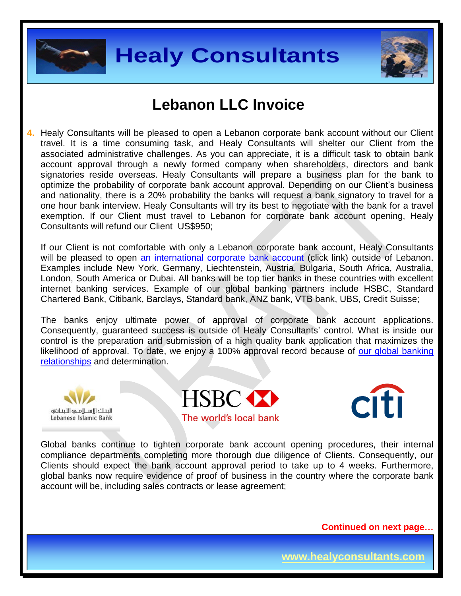



### **Lebanon LLC Invoice**

**4.** Healy Consultants will be pleased to open a Lebanon corporate bank account without our Client travel. It is a time consuming task, and Healy Consultants will shelter our Client from the associated administrative challenges. As you can appreciate, it is a difficult task to obtain bank account approval through a newly formed company when shareholders, directors and bank signatories reside overseas. Healy Consultants will prepare a business plan for the bank to optimize the probability of corporate bank account approval. Depending on our Client's business and nationality, there is a 20% probability the banks will request a bank signatory to travel for a one hour bank interview. Healy Consultants will try its best to negotiate with the bank for a travel exemption. If our Client must travel to Lebanon for corporate bank account opening, Healy Consultants will refund our Client US\$950;

If our Client is not comfortable with only a Lebanon corporate bank account, Healy Consultants will be pleased to open [an international corporate bank account](http://www.healyconsultants.com/international-banking/) (click link) outside of Lebanon. Examples include New York, Germany, Liechtenstein, Austria, Bulgaria, South Africa, Australia, London, South America or Dubai. All banks will be top tier banks in these countries with excellent internet banking services. Example of our global banking partners include HSBC, Standard Chartered Bank, Citibank, Barclays, Standard bank, ANZ bank, VTB bank, UBS, Credit Suisse;

The banks enjoy ultimate power of approval of corporate bank account applications. Consequently, guaranteed success is outside of Healy Consultants' control. What is inside our control is the preparation and submission of a high quality bank application that maximizes the likelihood of approval. To date, we enjoy a 100% approval record because of our global banking [relationships](http://www.healyconsultants.com/international-banking/corporate-accounts/) and determination.







Global banks continue to tighten corporate bank account opening procedures, their internal compliance departments completing more thorough due diligence of Clients. Consequently, our Clients should expect the bank account approval period to take up to 4 weeks. Furthermore, global banks now require evidence of proof of business in the country where the corporate bank account will be, including sales contracts or lease agreement;

**Continued on next page…**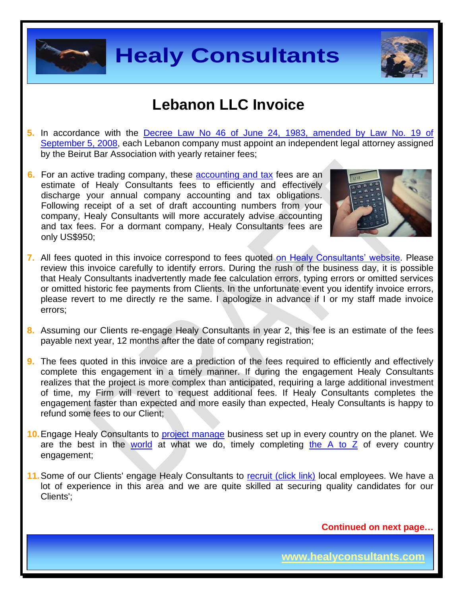



#### **Lebanon LLC Invoice**

- **5.** In accordance with the [Decree Law No 46 of June 24, 1983, amended by Law No. 19 of](http://doumanico.com/file/Law%20No_19%20amendment%20offshore%20regulation.pdf)  [September 5, 2008,](http://doumanico.com/file/Law%20No_19%20amendment%20offshore%20regulation.pdf) each Lebanon company must appoint an independent legal attorney assigned by the Beirut Bar Association with yearly retainer fees;
- **6.** For an active trading company, these [accounting and tax](http://www.healyconsultants.com/lebanon-company-registration/accounting-legal/) fees are an estimate of Healy Consultants fees to efficiently and effectively discharge your annual company accounting and tax obligations. Following receipt of a set of draft accounting numbers from your company, Healy Consultants will more accurately advise accounting and tax fees. For a dormant company, Healy Consultants fees are only US\$950;



- **7.** All fees quoted in this invoice correspond to fees quoted [on Healy Consultants' website.](http://www.healyconsultants.com/company-registration-fees/) Please review this invoice carefully to identify errors. During the rush of the business day, it is possible that Healy Consultants inadvertently made fee calculation errors, typing errors or omitted services or omitted historic fee payments from Clients. In the unfortunate event you identify invoice errors, please revert to me directly re the same. I apologize in advance if I or my staff made invoice errors;
- **8.** Assuming our Clients re-engage Healy Consultants in year 2, this fee is an estimate of the fees payable next year, 12 months after the date of company registration;
- **9.** The fees quoted in this invoice are a prediction of the fees required to efficiently and effectively complete this engagement in a timely manner. If during the engagement Healy Consultants realizes that the project is more complex than anticipated, requiring a large additional investment of time, my Firm will revert to request additional fees. If Healy Consultants completes the engagement faster than expected and more easily than expected, Healy Consultants is happy to refund some fees to our Client;
- **10.**Engage Healy Consultants to [project manage](http://www.healyconsultants.com/project-manage-engagements/) business set up in every country on the planet. We are the best in the [world](http://www.healyconsultants.com/best-in-the-world/) at what we do, timely completing the  $A$  to  $Z$  of every country engagement;
- **11.** Some of our Clients' engage Healy Consultants to [recruit \(click link\)](http://www.healyconsultants.com/corporate-outsourcing-services/how-we-help-our-clients-recruit-quality-employees/) local employees. We have a lot of experience in this area and we are quite skilled at securing quality candidates for our Clients';

**Continued on next page…**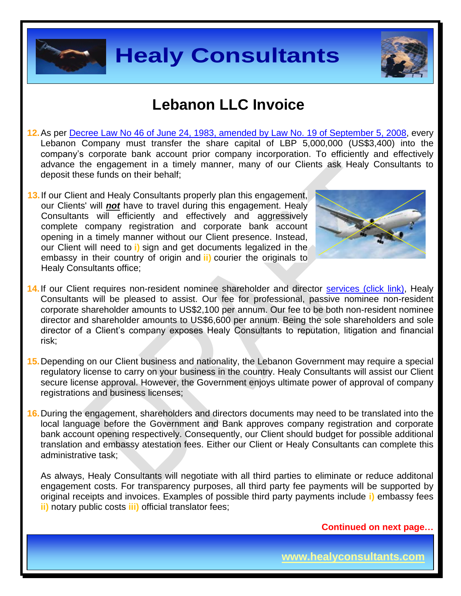



### **Lebanon LLC Invoice**

- **12.**As per [Decree Law No 46 of June 24, 1983, amended by Law No. 19 of September 5, 2008,](http://doumanico.com/file/Law%20No_19%20amendment%20offshore%20regulation.pdf) every Lebanon Company must transfer the share capital of LBP 5,000,000 (US\$3,400) into the company's corporate bank account prior company incorporation. To efficiently and effectively advance the engagement in a timely manner, many of our Clients ask Healy Consultants to deposit these funds on their behalf;
- **13.**If our Client and Healy Consultants properly plan this engagement, our Clients' will *not* have to travel during this engagement. Healy Consultants will efficiently and effectively and aggressively complete company registration and corporate bank account opening in a timely manner without our Client presence. Instead, our Client will need to **i)** sign and get documents legalized in the embassy in their country of origin and **ii)** courier the originals to Healy Consultants office;



- 14. If our Client requires non-resident nominee shareholder and director [services \(click link\),](http://www.healyconsultants.com/corporate-outsourcing-services/nominee-shareholders-directors/) Healy Consultants will be pleased to assist. Our fee for professional, passive nominee non-resident corporate shareholder amounts to US\$2,100 per annum. Our fee to be both non-resident nominee director and shareholder amounts to US\$6,600 per annum. Being the sole shareholders and sole director of a Client's company exposes Healy Consultants to reputation, litigation and financial risk;
- **15.**Depending on our Client business and nationality, the Lebanon Government may require a special regulatory license to carry on your business in the country. Healy Consultants will assist our Client secure license approval. However, the Government enjoys ultimate power of approval of company registrations and business licenses;
- **16.**During the engagement, shareholders and directors documents may need to be translated into the local language before the Government and Bank approves company registration and corporate bank account opening respectively. Consequently, our Client should budget for possible additional translation and embassy atestation fees. Either our Client or Healy Consultants can complete this administrative task;

As always, Healy Consultants will negotiate with all third parties to eliminate or reduce additonal engagement costs. For transparency purposes, all third party fee payments will be supported by original receipts and invoices. Examples of possible third party payments include **i)** embassy fees **ii)** notary public costs **iii)** official translator fees;

**Continued on next page…**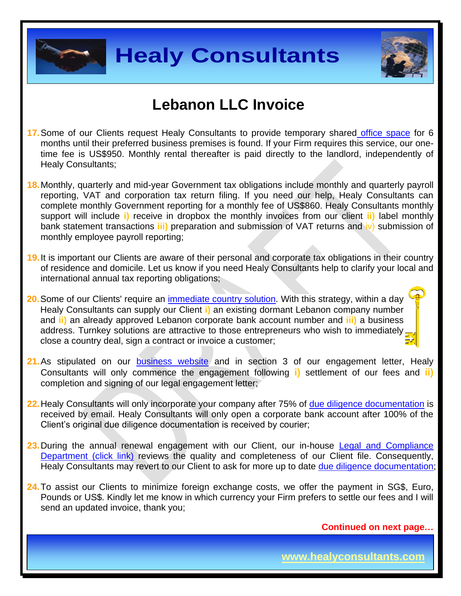



### **Lebanon LLC Invoice**

- **17.**Some of our Clients request Healy Consultants to provide temporary shared [office space](http://www.healyconsultants.com/virtual-office/) for 6 months until their preferred business premises is found. If your Firm requires this service, our onetime fee is US\$950. Monthly rental thereafter is paid directly to the landlord, independently of Healy Consultants;
- **18.**Monthly, quarterly and mid-year Government tax obligations include monthly and quarterly payroll reporting, VAT and corporation tax return filing. If you need our help, Healy Consultants can complete monthly Government reporting for a monthly fee of US\$860. Healy Consultants monthly support will include **i)** receive in dropbox the monthly invoices from our client **ii)** label monthly bank statement transactions **iii)** preparation and submission of VAT returns and iv) submission of monthly employee payroll reporting;
- **19.**It is important our Clients are aware of their personal and corporate tax obligations in their country of residence and domicile. Let us know if you need Healy Consultants help to clarify your local and international annual tax reporting obligations;
- **20.**Some of our Clients' require an [immediate country](http://www.healyconsultants.com/turnkey-solutions/) solution. With this strategy, within a day Healy Consultants can supply our Client **i)** an existing dormant Lebanon company number and **ii)** an already approved Lebanon corporate bank account number and **iii)** a business address. Turnkey solutions are attractive to those entrepreneurs who wish to immediately, close a country deal, sign a contract or invoice a customer;
- 21. As stipulated on our **[business website](http://www.healyconsultants.com/)** and in section 3 of our engagement letter, Healy Consultants will only commence the engagement following **i)** settlement of our fees and **ii)** completion and signing of our legal engagement letter;
- **22.**Healy Consultants will only incorporate your company after 75% of [due diligence documentation](http://www.healyconsultants.com/due-diligence/) is received by email. Healy Consultants will only open a corporate bank account after 100% of the Client's original due diligence documentation is received by courier;
- **23.**During the annual renewal engagement with our Client, our in-house [Legal and Compliance](http://www.healyconsultants.com/about-us/key-personnel/cai-xin-profile/)  [Department \(click link\)](http://www.healyconsultants.com/about-us/key-personnel/cai-xin-profile/) reviews the quality and completeness of our Client file. Consequently, Healy Consultants may revert to our Client to ask for more up to date [due diligence documentation;](http://www.healyconsultants.com/due-diligence/)
- **24.**To assist our Clients to minimize foreign exchange costs, we offer the payment in SG\$, Euro, Pounds or US\$. Kindly let me know in which currency your Firm prefers to settle our fees and I will send an updated invoice, thank you;

**Continued on next page…**